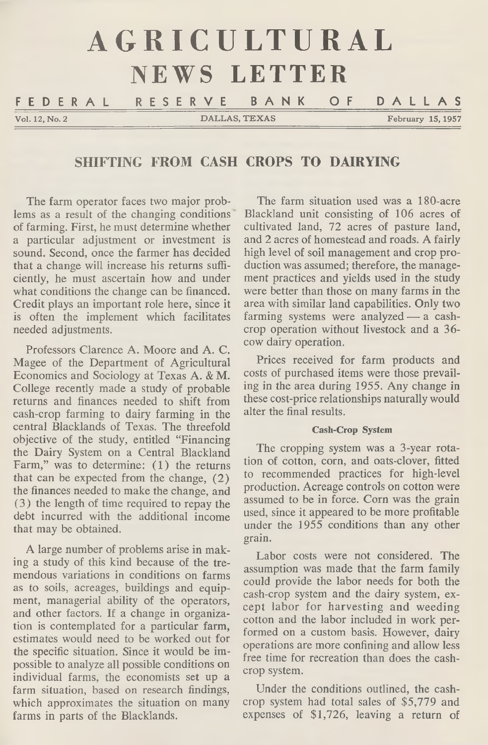|                | AGRICULTURAL  |                                |  |  |  |  |  |  |
|----------------|---------------|--------------------------------|--|--|--|--|--|--|
| NEWS LETTER    |               |                                |  |  |  |  |  |  |
|                |               | FEDERAL RESERVE BANK OF DALLAS |  |  |  |  |  |  |
| Vol. 12, No. 2 | DALLAS, TEXAS | February 15, 1957              |  |  |  |  |  |  |

# **SHIFTING FROM CASH CROPS TO DAIRYING**

The farm operator faces two major problems as a result of the changing conditions of farming. First, he must determine whether a particular adjustment or investment is sound. Second, once the farmer has decided that a change will increase his returns sufficiently, he must ascertain how and under what conditions the change can be financed. Credit plays an important role here, since it is often the implement which facilitates needed adjustments.

Professors Clarence A. Moore and A. C. Magee of the Department of Agricultural Economics and Sociology at Texas A. & M. College recently made a study of probable returns and finances needed to shift from cash-crop farming to dairy farming in the central Blacklands of Texas. The threefold objective of the study, entitled "Financing the Dairy System on a Central Blackland Farm," was to determine: (1) the returns that can be expected from the change, (2) the finances needed to make the change, and (3) the length of time required to repay the debt incurred with the additional income that may be obtained.

A large number of problems arise in making a study of this kind because of the tremendous variations in conditions on farms as to soils, acreages, buildings and equipment, managerial ability of the operators, and other factors. If a change in organization is contemplated for a particular farm, estimates would need to be worked out for the specific situation. Since it would be impossible to analyze all possible conditions on individual farms, the economists set up a farm situation, based on research findings, which approximates the situation on many farms in parts of the Blacklands.

The farm situation used was a 180-acre Blackland unit consisting of 106 acres of cultivated land, 72 acres of pasture land, and 2 acres of homestead and roads. A fairly high level of soil management and crop production was assumed; therefore, the management practices and yields used in the study were better than those on many farms in the area with similar land capabilities. Only two farming systems were analyzed — a cashcrop operation without livestock and a 36 cow dairy operation.

Prices received for farm products and costs of purchased items were those prevailing in the area during 1955. Any change in these cost-price relationships naturally would alter the final results.

#### **Cash-Crop System**

The cropping system was a 3-year rotation of cotton, corn, and oats-clover, fitted to recommended practices for high-level production. Acreage controls on cotton were assumed to be in force. Corn was the grain used, since it appeared to be more profitable under the 1955 conditions than any other grain.

Labor costs were not considered. The assumption was made that the farm family could provide the labor needs for both the cash-crop system and the dairy system, except labor for harvesting and weeding cotton and the labor included in work performed on a custom basis. However, dairy operations are more confining and allow less free time for recreation than does the cashcrop system.

Under the conditions outlined, the cashcrop system had total sales of \$5,779 and expenses of \$1,726, leaving a return of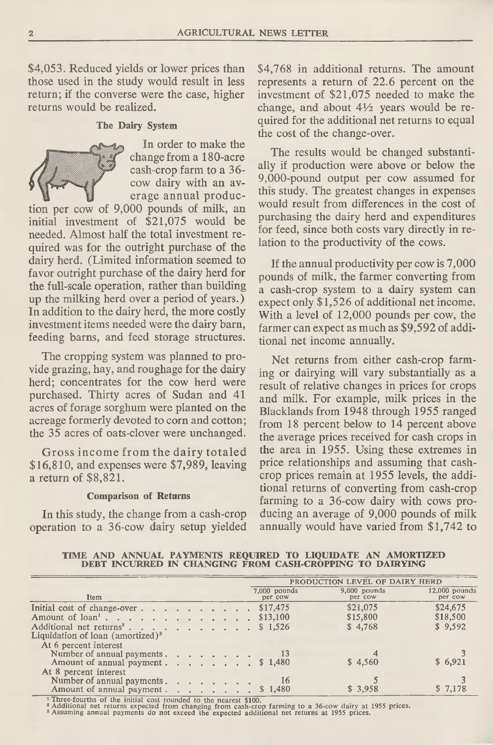\$4,053. Reduced yields or lower prices than those used in the study would result in less return; if the converse were the case, higher returns would be realized.

### **The Dairy System**



In order to make the change from a 180-acre cash-crop farm to a 36 cow dairy with an average annual produc-

tion per cow of 9,000 pounds of milk, an initial investment of \$21,075 would be needed. Almost half the total investment required was for the outright purchase of the dairy herd. (Limited information seemed to favor outright purchase of the dairy herd for the full-scale operation, rather than building up the milking herd over a period of years.) In addition to the dairy herd, the more costly investment items needed were the dairy barn, feeding barns, and feed storage structures.

The cropping system was planned to provide grazing, hay, and roughage for the dairy herd; concentrates for the cow herd were purchased. Thirty acres of Sudan and 41 acres of forage sorghum were planted on the acreage formerly devoted to corn and cotton; the 35 acres of oats-clover were unchanged.

Gross income from the dairy totaled \$16,810, and expenses were \$7,989, leaving a return of \$8,821.

### **Comparison of Returns**

In this study, the change from a cash-crop operation to a 36-cow dairy setup yielded \$4,768 in additional returns. The amount represents a return of 22.6 percent on the investment of \$21,075 needed to make the change, and about *AV2* years would be required for the additional net returns to equal the cost of the change-over.

The results would be changed substantially if production were above or below the 9,000-pound output per cow assumed for this study. The greatest changes in expenses would result from differences in the cost of purchasing the dairy herd and expenditures for feed, since both costs vary directly in relation to the productivity of the cows.

If the annual productivity per cow is 7,000 pounds of milk, the farmer converting from a cash-crop system to a dairy system can expect only \$1,526 of additional net income. With a level of 12,000 pounds per cow, the farmer can expect as much as \$9,592 of additional net income annually.

Net returns from either cash-crop farming or dairying will vary substantially as a result of relative changes in prices for crops and milk. For example, milk prices in the Blacklands from 1948 through 1955 ranged from 18 percent below to 14 percent above the average prices received for cash crops in the area in 1955. Using these extremes in price relationships and assuming that cashcrop prices remain at 1955 levels, the additional returns of converting from cash-crop farming to a 36-cow dairy with cows producing an average of 9,000 pounds of milk annually would have varied from \$1,742 to

TIME AND ANNUAL PAYMENTS REQUIRED TO LIQUIDATE AN AMORTIZED DEBT INCURRED IN CHANGING FROM CASH-CROPPING TO DAIRYING

|                                                                                                                                                                                       |  |  |  |  |  | PRODUCTION LEVEL OF DAIRY HERD            |                                 |                                 |  |  |
|---------------------------------------------------------------------------------------------------------------------------------------------------------------------------------------|--|--|--|--|--|-------------------------------------------|---------------------------------|---------------------------------|--|--|
| Item                                                                                                                                                                                  |  |  |  |  |  | $7,000$ pounds<br>per cow                 | $9,000$ pounds<br>per cow       | $12,000$ pounds<br>per cow      |  |  |
| Initial cost of change-over<br>Amount of loan <sup>1</sup> ,<br>Additional net returns <sup>2</sup> .<br>Liquidation of loan (amortized) <sup>3</sup><br>At 6 percent interest        |  |  |  |  |  | \$17,475<br>$\frac{$13,100}{}$<br>\$1,526 | \$21,075<br>\$15,800<br>\$4,768 | \$24,675<br>\$18,500<br>\$9,592 |  |  |
| Number of annual payments.<br>Amount of annual payment $\ldots$ $\ldots$ $\ldots$ $\uparrow$ 1,480<br>At 8 percent interest<br>Number of annual payments.<br>Amount of annual payment |  |  |  |  |  | 16<br>\$1,480                             | \$4,560<br>\$3,958              | \$6,921<br>\$ 7,178             |  |  |

1 Three-fourths of the initial cost rounded to the nearest \$100.<br>ª Additional net returns expected from changing from cash-crop farming to a 36-cow dairy at 1955 prices.<br>ª Assuming annual payments do not exceed the expec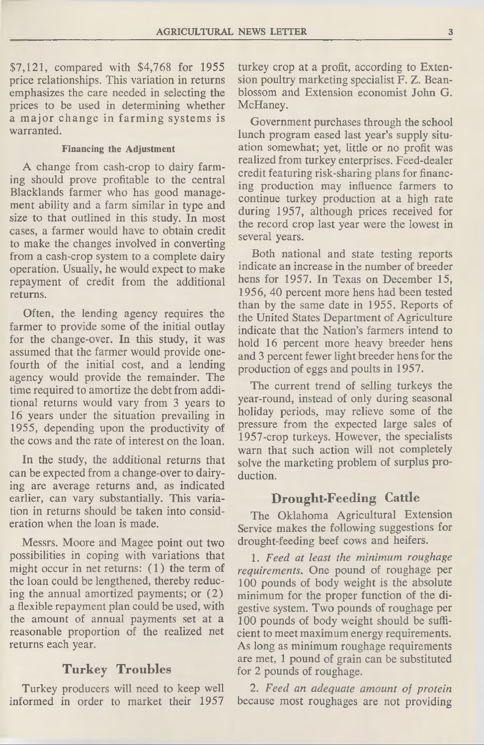\$7,121, compared with \$4,768 for 1955 price relationships. This variation in returns emphasizes the care needed in selecting the prices to be used in determining whether a major change in farming systems is warranted.

#### **Financing the Adjustment**

A change from cash-crop to dairy farming should prove profitable to the central Blacklands farmer who has good management ability and a farm similar in type and size to that outlined in this study. In most cases, a farmer would have to obtain credit to make the changes involved in converting from a cash-crop system to a complete dairy operation. Usually, he would expect to make repayment of credit from the additional returns.

Often, the lending agency requires the farmer to provide some of the initial outlay for the change-over. In this study, it was assumed that the farmer would provide onefourth of the initial cost, and a lending agency would provide the remainder. The time required to amortize the debt from additional returns would vary from 3 years to 16 years under the situation prevailing in 1955, depending upon the productivity of the cows and the rate of interest on the loan.

In the study, the additional returns that can be expected from a change-over to dairying are average returns and, as indicated earlier, can vary substantially. This variation in returns should be taken into consideration when the loan is made.

Messrs. Moore and Magee point out two possibilities in coping with variations that might occur in net returns: (1) the term of the loan could be lengthened, thereby reducing the annual amortized payments; or (2) a flexible repayment plan could be used, with the amount of annual payments set at a reasonable proportion of the realized net returns each year.

### **Turkey Troubles**

Turkey producers will need to keep well informed in order to market their 1957

turkey crop at a profit, according to Extension poultry marketing specialist F. Z. Beanblossom and Extension economist John G. McHaney.

Government purchases through the school lunch program eased last year's supply situation somewhat; yet, little or no profit was realized from turkey enterprises. Feed-dealer credit featuring risk-sharing plans for financing production may influence farmers to continue turkey production at a high rate during 1957, although prices received for the record crop last year were the lowest in several years.

Both national and state testing reports indicate an increase in the number of breeder hens for 1957. In Texas on December 15, 1956, 40 percent more hens had been tested than by the same date in 1955. Reports of the United States Department of Agriculture indicate that the Nation's farmers intend to hold 16 percent more heavy breeder hens and 3 percent fewer light breeder hens for the production of eggs and poults in 1957.

The current trend of selling turkeys the year-round, instead of only during seasonal holiday periods, may relieve some of the pressure from the expected large sales of 1957-crop turkeys. However, the specialists warn that such action will not completely solve the marketing problem of surplus production.

## **Drought-Feeding Cattle**

The Oklahoma Agricultural Extension Service makes the following suggestions for drought-feeding beef cows and heifers.

1. *Feed at least the minimum roughage requirements.* One pound of roughage per 100 pounds of body weight is the absolute minimum for the proper function of the digestive system. Two pounds of roughage per 100 pounds of body weight should be sufficient to meet maximum energy requirements. As long as minimum roughage requirements are met, 1 pound of grain can be substituted for 2 pounds of roughage.

2. *Feed an adequate amount of protein* because most roughages are not providing